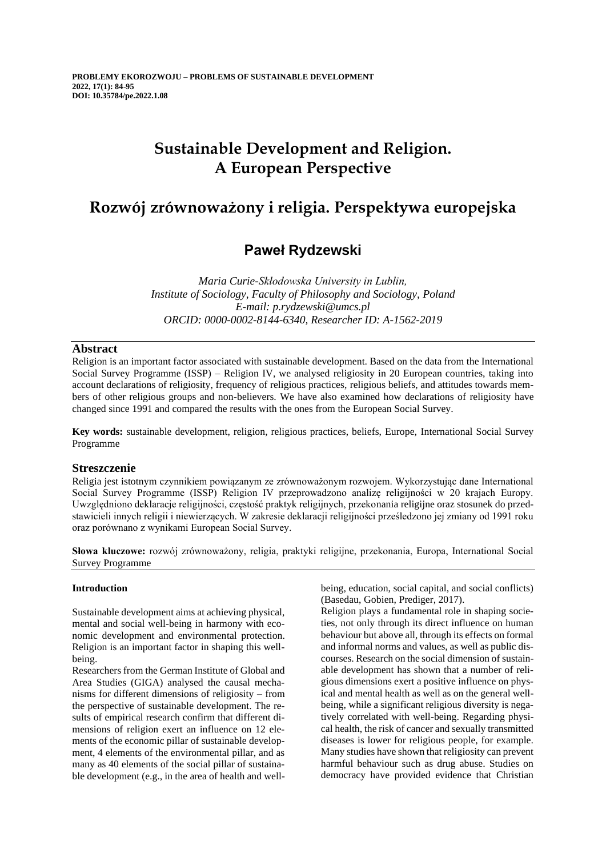# **Sustainable Development and Religion. A European Perspective**

## **Rozwój zrównoważony i religia. Perspektywa europejska**

## **Paweł Rydzewski**

*Maria Curie-Skłodowska University in Lublin, Institute of Sociology, Faculty of Philosophy and Sociology, Poland E-mail: p.rydzewski@umcs.pl ORCID: 0000-0002-8144-6340, Researcher ID: A-1562-2019*

## **Abstract**

Religion is an important factor associated with sustainable development. Based on the data from the International Social Survey Programme (ISSP) – Religion IV, we analysed religiosity in 20 European countries, taking into account declarations of religiosity, frequency of religious practices, religious beliefs, and attitudes towards members of other religious groups and non-believers. We have also examined how declarations of religiosity have changed since 1991 and compared the results with the ones from the European Social Survey.

**Key words:** sustainable development, religion, religious practices, beliefs, Europe, International Social Survey Programme

## **Streszczenie**

Religia jest istotnym czynnikiem powiązanym ze zrównoważonym rozwojem. Wykorzystując dane International Social Survey Programme (ISSP) Religion IV przeprowadzono analizę religijności w 20 krajach Europy. Uwzględniono deklaracje religijności, częstość praktyk religijnych, przekonania religijne oraz stosunek do przedstawicieli innych religii i niewierzących. W zakresie deklaracji religijności prześledzono jej zmiany od 1991 roku oraz porównano z wynikami European Social Survey.

**Słowa kluczowe:** rozwój zrównoważony, religia, praktyki religijne, przekonania, Europa, International Social Survey Programme

## **Introduction**

Sustainable development aims at achieving physical, mental and social well-being in harmony with economic development and environmental protection. Religion is an important factor in shaping this wellbeing.

Researchers from the German Institute of Global and Area Studies (GIGA) analysed the causal mechanisms for different dimensions of religiosity – from the perspective of sustainable development. The results of empirical research confirm that different dimensions of religion exert an influence on 12 elements of the economic pillar of sustainable development, 4 elements of the environmental pillar, and as many as 40 elements of the social pillar of sustainable development (e.g., in the area of health and wellbeing, education, social capital, and social conflicts) (Basedau, Gobien, Prediger, 2017).

Religion plays a fundamental role in shaping societies, not only through its direct influence on human behaviour but above all, through its effects on formal and informal norms and values, as well as public discourses. Research on the social dimension of sustainable development has shown that a number of religious dimensions exert a positive influence on physical and mental health as well as on the general wellbeing, while a significant religious diversity is negatively correlated with well-being. Regarding physical health, the risk of cancer and sexually transmitted diseases is lower for religious people, for example. Many studies have shown that religiosity can prevent harmful behaviour such as drug abuse. Studies on democracy have provided evidence that Christian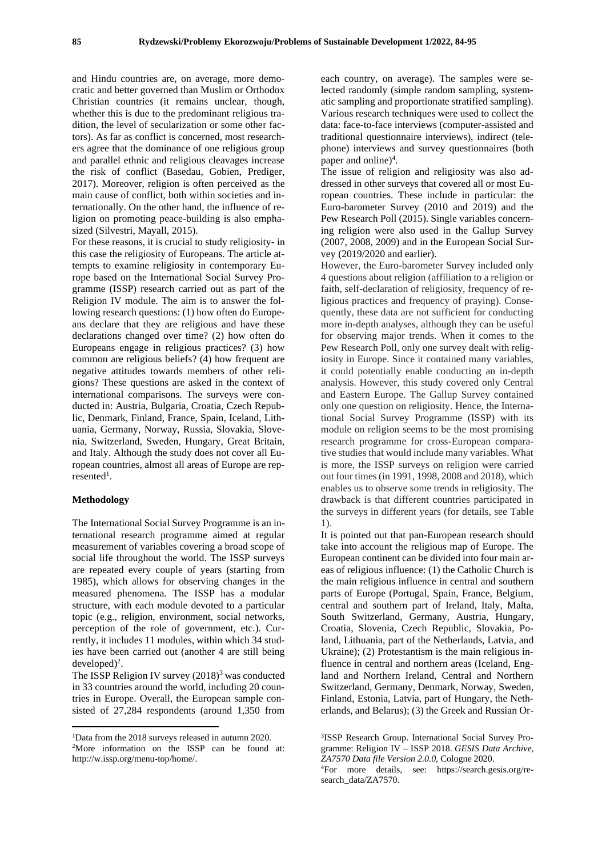and Hindu countries are, on average, more democratic and better governed than Muslim or Orthodox Christian countries (it remains unclear, though, whether this is due to the predominant religious tradition, the level of secularization or some other factors). As far as conflict is concerned, most researchers agree that the dominance of one religious group and parallel ethnic and religious cleavages increase the risk of conflict (Basedau, Gobien, Prediger, 2017). Moreover, religion is often perceived as the main cause of conflict, both within societies and internationally. On the other hand, the influence of religion on promoting peace-building is also emphasized (Silvestri, Mayall, 2015).

For these reasons, it is crucial to study religiosity- in this case the religiosity of Europeans. The article attempts to examine religiosity in contemporary Europe based on the International Social Survey Programme (ISSP) research carried out as part of the Religion IV module. The aim is to answer the following research questions: (1) how often do Europeans declare that they are religious and have these declarations changed over time? (2) how often do Europeans engage in religious practices? (3) how common are religious beliefs? (4) how frequent are negative attitudes towards members of other religions? These questions are asked in the context of international comparisons. The surveys were conducted in: Austria, Bulgaria, Croatia, Czech Republic, Denmark, Finland, France, Spain, Iceland, Lithuania, Germany, Norway, Russia, Slovakia, Slovenia, Switzerland, Sweden, Hungary, Great Britain, and Italy. Although the study does not cover all European countries, almost all areas of Europe are rep $resented<sup>1</sup>$ .

## **Methodology**

The International Social Survey Programme is an international research programme aimed at regular measurement of variables covering a broad scope of social life throughout the world. The ISSP surveys are repeated every couple of years (starting from 1985), which allows for observing changes in the measured phenomena. The ISSP has a modular structure, with each module devoted to a particular topic (e.g., religion, environment, social networks, perception of the role of government, etc.). Currently, it includes 11 modules, within which 34 studies have been carried out (another 4 are still being  $developed)^2$ .

The ISSP Religion IV survey  $(2018)^3$  was conducted in 33 countries around the world, including 20 countries in Europe. Overall, the European sample consisted of 27,284 respondents (around 1,350 from each country, on average). The samples were selected randomly (simple random sampling, systematic sampling and proportionate stratified sampling). Various research techniques were used to collect the data: face-to-face interviews (computer-assisted and traditional questionnaire interviews), indirect (telephone) interviews and survey questionnaires (both paper and online)<sup>4</sup>.

The issue of religion and religiosity was also addressed in other surveys that covered all or most European countries. These include in particular: the Euro-barometer Survey (2010 and 2019) and the Pew Research Poll (2015). Single variables concerning religion were also used in the Gallup Survey (2007, 2008, 2009) and in the European Social Survey (2019/2020 and earlier).

However, the Euro-barometer Survey included only 4 questions about religion (affiliation to a religion or faith, self-declaration of religiosity, frequency of religious practices and frequency of praying). Consequently, these data are not sufficient for conducting more in-depth analyses, although they can be useful for observing major trends. When it comes to the Pew Research Poll, only one survey dealt with religiosity in Europe. Since it contained many variables, it could potentially enable conducting an in-depth analysis. However, this study covered only Central and Eastern Europe. The Gallup Survey contained only one question on religiosity. Hence, the International Social Survey Programme (ISSP) with its module on religion seems to be the most promising research programme for cross-European comparative studies that would include many variables. What is more, the ISSP surveys on religion were carried out four times (in 1991, 1998, 2008 and 2018), which enables us to observe some trends in religiosity. The drawback is that different countries participated in the surveys in different years (for details, see Table 1).

It is pointed out that pan-European research should take into account the religious map of Europe. The European continent can be divided into four main areas of religious influence: (1) the Catholic Church is the main religious influence in central and southern parts of Europe (Portugal, Spain, France, Belgium, central and southern part of Ireland, Italy, Malta, South Switzerland, Germany, Austria, Hungary, Croatia, Slovenia, Czech Republic, Slovakia, Poland, Lithuania, part of the Netherlands, Latvia, and Ukraine); (2) Protestantism is the main religious influence in central and northern areas (Iceland, England and Northern Ireland, Central and Northern Switzerland, Germany, Denmark, Norway, Sweden, Finland, Estonia, Latvia, part of Hungary, the Netherlands, and Belarus); (3) the Greek and Russian Or-

<sup>1</sup>Data from the 2018 surveys released in autumn 2020.

<sup>2</sup>More information on the ISSP can be found at: http://w.issp.org/menu-top/home/.

<sup>3</sup> ISSP Research Group. International Social Survey Programme: Religion IV – ISSP 2018. *GESIS Data Archive, ZA7570 Data file Version 2.0.0,* Cologne 2020. 4For more details, see: https://search.gesis.org/research\_data/ZA7570.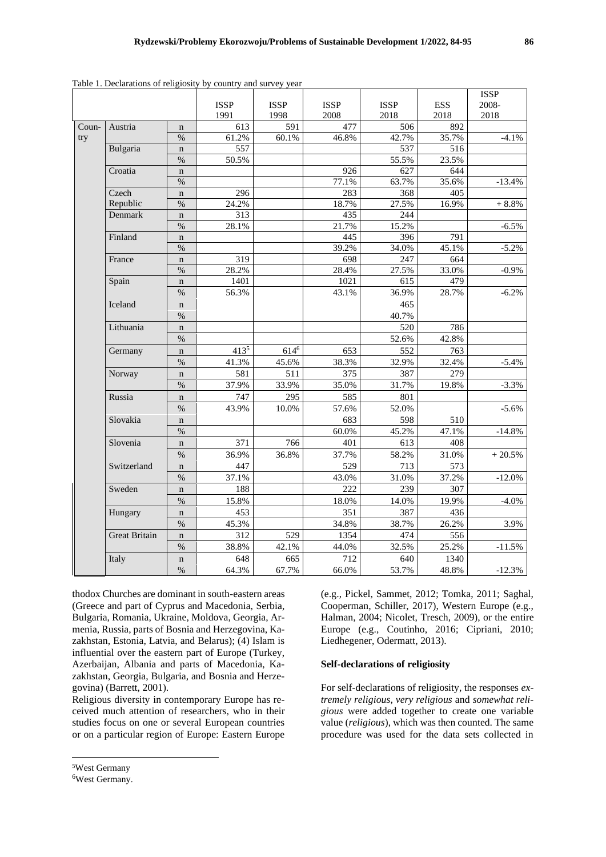|       |                      |                     |                  |                  |               |                  |              | <b>ISSP</b> |
|-------|----------------------|---------------------|------------------|------------------|---------------|------------------|--------------|-------------|
|       |                      |                     | <b>ISSP</b>      | <b>ISSP</b>      | <b>ISSP</b>   | <b>ISSP</b>      | <b>ESS</b>   | 2008-       |
|       |                      |                     | 1991             | 1998             | 2008          | 2018             | 2018         | 2018        |
| Coun- | Austria              | $\mathbf n$         | 613              | 591              | 477           | 506              | 892          |             |
| try   |                      | $\%$                | 61.2%            | 60.1%            | 46.8%         | 42.7%            | 35.7%        | $-4.1%$     |
|       | Bulgaria             | $\mathbf n$         | 557              |                  |               | 537              | 516          |             |
|       |                      | $\%$                | 50.5%            |                  |               | 55.5%            | 23.5%        |             |
|       | Croatia              | $\mathbf n$         |                  |                  | 926           | 627              | 644          |             |
|       |                      | $\frac{0}{0}$       |                  |                  | 77.1%         | 63.7%            | 35.6%        | $-13.4%$    |
|       | Czech                | $\mathbf n$         | 296              |                  | 283           | 368              | 405          |             |
|       | Republic             | $\frac{0}{0}$       | 24.2%            |                  | 18.7%         | 27.5%            | 16.9%        | $+8.8%$     |
|       | Denmark              | $\mathbf n$         | $\overline{313}$ |                  | 435           | 244              |              |             |
|       |                      | $\frac{0}{0}$       | 28.1%            |                  | 21.7%         | 15.2%            |              | $-6.5%$     |
|       | Finland              |                     |                  |                  | 445           | 396              | 791          |             |
|       |                      | $\mathbf n$<br>$\%$ |                  |                  | 39.2%         | 34.0%            |              | $-5.2%$     |
|       | France               |                     | 319              |                  | 698           | $\overline{247}$ | 45.1%<br>664 |             |
|       |                      | $\mathbf n$<br>$\%$ | 28.2%            |                  |               | 27.5%            | 33.0%        | $-0.9%$     |
|       |                      |                     | 1401             |                  | 28.4%<br>1021 | 615              | 479          |             |
|       | Spain                | $\mathbf n$         |                  |                  |               |                  |              |             |
|       |                      | $\%$                | 56.3%            |                  | 43.1%         | 36.9%            | 28.7%        | $-6.2%$     |
|       | <b>Iceland</b>       | $\mathbf n$         |                  |                  |               | 465              |              |             |
|       |                      | $\%$                |                  |                  |               | 40.7%            |              |             |
|       | Lithuania            | $\mathbf n$         |                  |                  |               | 520              | 786          |             |
|       |                      | $\%$                |                  |                  |               | 52.6%            | 42.8%        |             |
|       | Germany              | $\mathbf n$         | 4135             | 614 <sup>6</sup> | 653           | 552              | 763          |             |
|       |                      | $\%$                | 41.3%            | 45.6%            | 38.3%         | 32.9%            | 32.4%        | $-5.4%$     |
|       | Norway               | $\mathbf n$         | 581              | 511              | 375           | 387              | 279          |             |
|       |                      | $\%$                | 37.9%            | 33.9%            | 35.0%         | 31.7%            | 19.8%        | $-3.3%$     |
|       | Russia               | $\mathbf n$         | 747              | 295              | 585           | 801              |              |             |
|       |                      | $\frac{0}{0}$       | 43.9%            | 10.0%            | 57.6%         | 52.0%            |              | $-5.6%$     |
|       | Slovakia             | $\mathbf n$         |                  |                  | 683           | 598              | 510          |             |
|       |                      | $\frac{9}{0}$       |                  |                  | 60.0%         | 45.2%            | 47.1%        | $-14.8%$    |
|       | Slovenia             | $\mathbf n$         | 371              | 766              | 401           | 613              | 408          |             |
|       |                      | $\%$                | 36.9%            | 36.8%            | 37.7%         | 58.2%            | 31.0%        | $+20.5%$    |
|       | Switzerland          | $\mathbf n$         | 447              |                  | 529           | 713              | 573          |             |
|       |                      | $\%$                | 37.1%            |                  | 43.0%         | 31.0%            | 37.2%        | $-12.0%$    |
|       | Sweden               | $\bf n$             | 188              |                  | 222           | 239              | 307          |             |
|       |                      | $\%$                | 15.8%            |                  | 18.0%         | 14.0%            | 19.9%        | $-4.0\%$    |
|       | Hungary              |                     | 453              |                  | 351           | 387              | 436          |             |
|       |                      | $\bf n$<br>$\%$     | 45.3%            |                  | 34.8%         | 38.7%            | 26.2%        | 3.9%        |
|       | <b>Great Britain</b> |                     | 312              | 529              | 1354          |                  |              |             |
|       |                      | $\bf n$             |                  |                  |               | 474              | 556          |             |
|       |                      | $\%$                | 38.8%            | 42.1%            | 44.0%         | 32.5%            | 25.2%        | $-11.5%$    |
|       | Italy                | $\mathbf n$         | 648              | 665              | 712           | 640              | 1340         |             |
|       |                      | $\%$                | 64.3%            | 67.7%            | 66.0%         | 53.7%            | 48.8%        | $-12.3%$    |

Table 1. Declarations of religiosity by country and survey year

thodox Churches are dominant in south-eastern areas (Greece and part of Cyprus and Macedonia, Serbia, Bulgaria, Romania, Ukraine, Moldova, Georgia, Armenia, Russia, parts of Bosnia and Herzegovina, Kazakhstan, Estonia, Latvia, and Belarus); (4) Islam is influential over the eastern part of Europe (Turkey, Azerbaijan, Albania and parts of Macedonia, Kazakhstan, Georgia, Bulgaria, and Bosnia and Herzegovina) (Barrett, 2001).

Religious diversity in contemporary Europe has received much attention of researchers, who in their studies focus on one or several European countries or on a particular region of Europe: Eastern Europe

(e.g., Pickel, Sammet, 2012; Tomka, 2011; Saghal, Cooperman, Schiller, 2017), Western Europe (e.g., Halman, 2004; Nicolet, Tresch, 2009), or the entire Europe (e.g., Coutinho, 2016; Cipriani, 2010; Liedhegener, Odermatt, 2013).

#### **Self-declarations of religiosity**

For self-declarations of religiosity, the responses *extremely religious, very religious* and *somewhat religious* were added together to create one variable value (*religious*), which was then counted. The same procedure was used for the data sets collected in

<sup>5</sup>West Germany

<sup>6</sup>West Germany.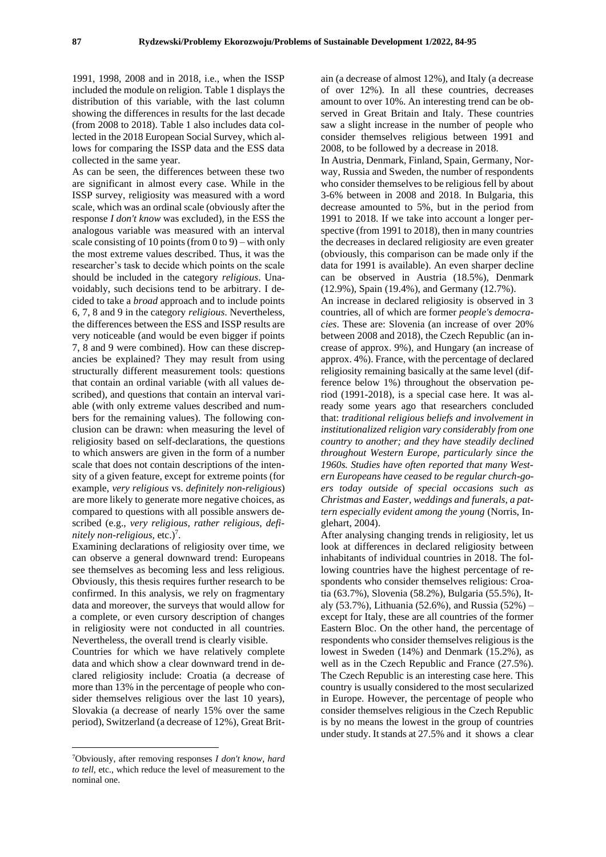1991, 1998, 2008 and in 2018, i.e., when the ISSP included the module on religion. Table 1 displays the distribution of this variable, with the last column showing the differences in results for the last decade (from 2008 to 2018). Table 1 also includes data collected in the 2018 European Social Survey, which allows for comparing the ISSP data and the ESS data collected in the same year.

As can be seen, the differences between these two are significant in almost every case. While in the ISSP survey, religiosity was measured with a word scale, which was an ordinal scale (obviously after the response *I don't know* was excluded), in the ESS the analogous variable was measured with an interval scale consisting of 10 points (from  $(0)$  to  $(9)$ ) – with only the most extreme values described. Thus, it was the researcher's task to decide which points on the scale should be included in the category *religious*. Unavoidably, such decisions tend to be arbitrary. I decided to take a *broad* approach and to include points 6, 7, 8 and 9 in the category *religious*. Nevertheless, the differences between the ESS and ISSP results are very noticeable (and would be even bigger if points 7, 8 and 9 were combined). How can these discrepancies be explained? They may result from using structurally different measurement tools: questions that contain an ordinal variable (with all values described), and questions that contain an interval variable (with only extreme values described and numbers for the remaining values). The following conclusion can be drawn: when measuring the level of religiosity based on self-declarations, the questions to which answers are given in the form of a number scale that does not contain descriptions of the intensity of a given feature, except for extreme points (for example, *very religious* vs. *definitely non-religious*) are more likely to generate more negative choices, as compared to questions with all possible answers described (e.g., *very religious, rather religious, defi*nitely non-religious, etc.)<sup>7</sup>.

Examining declarations of religiosity over time, we can observe a general downward trend: Europeans see themselves as becoming less and less religious. Obviously, this thesis requires further research to be confirmed. In this analysis, we rely on fragmentary data and moreover, the surveys that would allow for a complete, or even cursory description of changes in religiosity were not conducted in all countries. Nevertheless, the overall trend is clearly visible.

Countries for which we have relatively complete data and which show a clear downward trend in declared religiosity include: Croatia (a decrease of more than 13% in the percentage of people who consider themselves religious over the last 10 years), Slovakia (a decrease of nearly 15% over the same period), Switzerland (a decrease of 12%), Great Brit-

ain (a decrease of almost 12%), and Italy (a decrease of over 12%). In all these countries, decreases amount to over 10%. An interesting trend can be observed in Great Britain and Italy. These countries saw a slight increase in the number of people who consider themselves religious between 1991 and 2008, to be followed by a decrease in 2018.

In Austria, Denmark, Finland, Spain, Germany, Norway, Russia and Sweden, the number of respondents who consider themselves to be religious fell by about 3-6% between in 2008 and 2018. In Bulgaria, this decrease amounted to 5%, but in the period from 1991 to 2018. If we take into account a longer perspective (from 1991 to 2018), then in many countries the decreases in declared religiosity are even greater (obviously, this comparison can be made only if the data for 1991 is available). An even sharper decline can be observed in Austria (18.5%), Denmark (12.9%), Spain (19.4%), and Germany (12.7%).

An increase in declared religiosity is observed in 3 countries, all of which are former *people's democracies*. These are: Slovenia (an increase of over 20% between 2008 and 2018), the Czech Republic (an increase of approx. 9%), and Hungary (an increase of approx. 4%). France, with the percentage of declared religiosity remaining basically at the same level (difference below 1%) throughout the observation period (1991-2018), is a special case here. It was already some years ago that researchers concluded that: *traditional religious beliefs and involvement in institutionalized religion vary considerably from one country to another; and they have steadily declined throughout Western Europe, particularly since the 1960s. Studies have often reported that many Western Europeans have ceased to be regular church-goers today outside of special occasions such as Christmas and Easter, weddings and funerals, a pattern especially evident among the young* (Norris, Inglehart, 2004).

After analysing changing trends in religiosity, let us look at differences in declared religiosity between inhabitants of individual countries in 2018. The following countries have the highest percentage of respondents who consider themselves religious: Croatia (63.7%), Slovenia (58.2%), Bulgaria (55.5%), Italy (53.7%), Lithuania (52.6%), and Russia (52%) – except for Italy, these are all countries of the former Eastern Bloc. On the other hand, the percentage of respondents who consider themselves religious is the lowest in Sweden (14%) and Denmark (15.2%), as well as in the Czech Republic and France (27.5%). The Czech Republic is an interesting case here. This country is usually considered to the most secularized in Europe. However, the percentage of people who consider themselves religious in the Czech Republic is by no means the lowest in the group of countries under study. It stands at 27.5% and it shows a clear

<sup>7</sup>Obviously, after removing responses *I don't know, hard to tell,* etc., which reduce the level of measurement to the nominal one.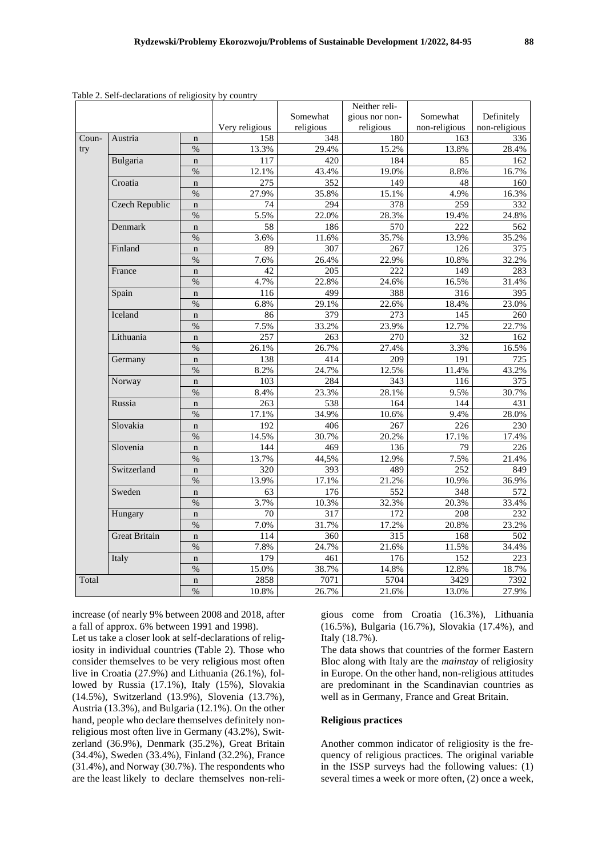|       |                       |               |                |                  | Neither reli-    |                      |               |
|-------|-----------------------|---------------|----------------|------------------|------------------|----------------------|---------------|
|       |                       |               |                | Somewhat         | gious nor non-   | Somewhat             | Definitely    |
|       |                       |               | Very religious | religious        | religious        | non-religious        | non-religious |
| Coun- | Austria               | $\mathbf n$   | 158            | 348              | 180              | 163                  | 336           |
| try   |                       | $\%$          | 13.3%          | 29.4%            | 15.2%            | 13.8%                | 28.4%         |
|       | Bulgaria              | $\mathbf n$   | 117            | 420              | 184              | 85                   | 162           |
|       |                       | $\%$          | 12.1%          | 43.4%            | 19.0%            | 8.8%                 | 16.7%         |
|       | Croatia               | $\mathbf n$   | 275            | 352              | 149              | 48                   | 160           |
|       |                       | $\%$          | 27.9%          | 35.8%            | 15.1%            | 4.9%                 | 16.3%         |
|       | <b>Czech Republic</b> | $\mathbf n$   | 74             | 294              | $\overline{378}$ | 259                  | 332           |
|       |                       | $\%$          | 5.5%           | 22.0%            | 28.3%            | 19.4%                | 24.8%         |
|       | Denmark               | $\mathbf n$   | 58             | 186              | 570              | 222                  | 562           |
|       |                       | $\%$          | 3.6%           | 11.6%            | 35.7%            | 13.9%                | 35.2%         |
|       | Finland               | $\mathbf n$   | 89             | $\overline{307}$ | 267              | 126                  | 375           |
|       |                       | $\frac{0}{0}$ | 7.6%           | 26.4%            | 22.9%            | 10.8%                | 32.2%         |
|       | France                | $\mathbf n$   | 42             | 205              | $\overline{222}$ | 149                  | 283           |
|       |                       | $\%$          | 4.7%           | 22.8%            | 24.6%            | 16.5%                | 31.4%         |
|       | Spain                 | $\mathbf n$   | 116            | 499              | 388              | 316                  | 395           |
|       |                       | $\%$          | 6.8%           | 29.1%            | 22.6%            | 18.4%                | 23.0%         |
|       | Iceland               | $\mathbf n$   | 86             | 379              | 273              | 145                  | 260           |
|       |                       | $\%$          | 7.5%           | 33.2%            | 23.9%            | 12.7%                | 22.7%         |
|       | Lithuania             | $\mathbf n$   | 257            | 263              | 270              | $\overline{32}$      | 162           |
|       |                       | $\%$          | 26.1%          | 26.7%            | 27.4%            | 3.3%<br>191          | 16.5%         |
|       | Germany               | $\mathbf n$   | 138            | 414              | 209              |                      | 725           |
|       |                       | $\frac{0}{0}$ | 8.2%           | 24.7%            | 12.5%            | 11.4%                | 43.2%         |
|       | Norway                | $\mathbf n$   | 103            | 284              | 343              | 116                  | 375           |
|       |                       | $\frac{0}{0}$ | 8.4%           | 23.3%            | 28.1%            | 9.5%                 | 30.7%         |
|       | Russia                | $\mathbf n$   | 263            | 538              | 164              | 144                  | 431           |
|       |                       | $\%$          | 17.1%          | 34.9%            | 10.6%            | 9.4%                 | 28.0%         |
|       | Slovakia              | $\mathbf n$   | 192            | 406              | 267              | 226                  | 230           |
|       |                       | $\frac{0}{0}$ | 14.5%          | 30.7%            | 20.2%            | 17.1%                | 17.4%         |
|       | Slovenia              | $\mathbf n$   | 144            | 469              | 136              | 79                   | 226           |
|       |                       | $\%$          | 13.7%          | 44,5%            | 12.9%            | 7.5%<br>252<br>10.9% | 21.4%         |
|       | Switzerland           | $\mathbf n$   | 320            | 393              | 489              |                      | 849           |
|       |                       | $\%$          | 13.9%          | 17.1%            | 21.2%            |                      | 36.9%         |
|       | Sweden                | $\mathbf n$   | 63             | 176              | 552              | 348                  | 572           |
|       |                       | $\%$          | 3.7%           | 10.3%            | 32.3%            | 20.3%                | 33.4%         |
|       | Hungary               | $\mathbf n$   | 70             | 317              | 172              | 208                  | 232           |
|       |                       | $\%$          | 7.0%           | 31.7%            | 17.2%            | 20.8%                | 23.2%         |
|       | <b>Great Britain</b>  | $\mathbf n$   | 114            | 360              | 315              | 168                  | 502           |
|       |                       | $\%$          | 7.8%           | 24.7%            | 21.6%            | 11.5%                | 34.4%         |
|       | Italy                 | $\mathbf n$   | 179            | 461              | 176              | 152                  | 223           |
|       |                       | $\frac{0}{0}$ | 15.0%          | 38.7%            | 14.8%            | 12.8%                | 18.7%         |
| Total |                       | $\mathbf n$   | 2858           | 7071             | 5704             | 3429                 | 7392          |
|       |                       | $\%$          | 10.8%          | 26.7%            | 21.6%            | 13.0%                | 27.9%         |

Table 2. Self-declarations of religiosity by country

increase (of nearly 9% between 2008 and 2018, after a fall of approx. 6% between 1991 and 1998).

Let us take a closer look at self-declarations of religiosity in individual countries (Table 2). Those who consider themselves to be very religious most often live in Croatia (27.9%) and Lithuania (26.1%), followed by Russia (17.1%), Italy (15%), Slovakia (14.5%), Switzerland (13.9%), Slovenia (13.7%), Austria (13.3%), and Bulgaria (12.1%). On the other hand, people who declare themselves definitely nonreligious most often live in Germany (43.2%), Switzerland (36.9%), Denmark (35.2%), Great Britain (34.4%), Sweden (33.4%), Finland (32.2%), France (31.4%), and Norway (30.7%). The respondents who are the least likely to declare themselves non-religious come from Croatia (16.3%), Lithuania (16.5%), Bulgaria (16.7%), Slovakia (17.4%), and Italy (18.7%).

The data shows that countries of the former Eastern Bloc along with Italy are the *mainstay* of religiosity in Europe. On the other hand, non-religious attitudes are predominant in the Scandinavian countries as well as in Germany, France and Great Britain.

## **Religious practices**

Another common indicator of religiosity is the frequency of religious practices. The original variable in the ISSP surveys had the following values: (1) several times a week or more often, (2) once a week,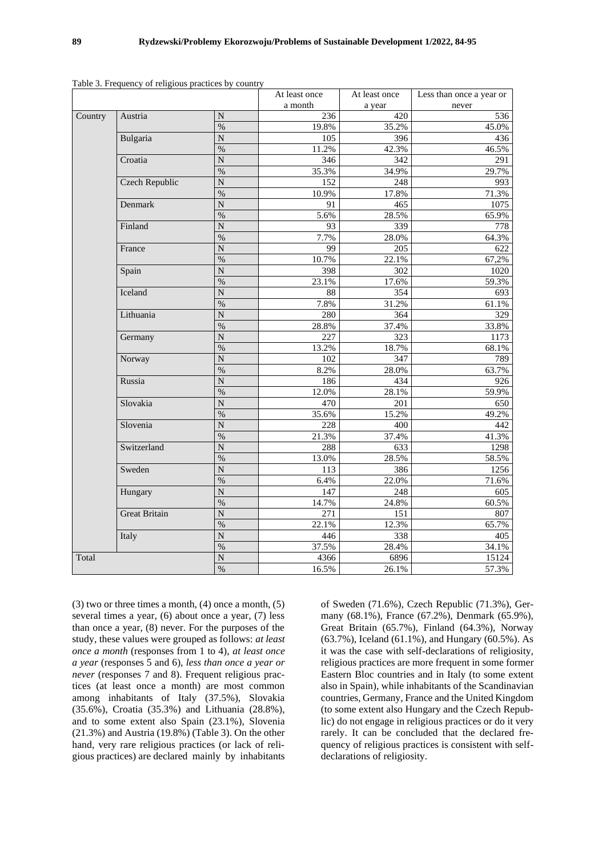|         | asie stri requency of rengrous praemees cy |                    | At least once | At least once | Less than once a year or      |  |  |
|---------|--------------------------------------------|--------------------|---------------|---------------|-------------------------------|--|--|
|         |                                            |                    | a month       | a year        | never                         |  |  |
| Country | Austria                                    | N                  | 236           | 420           | 536                           |  |  |
|         |                                            | $\frac{0}{6}$      | 19.8%         | 35.2%         | 45.0%                         |  |  |
|         | Bulgaria                                   | $\overline{\rm N}$ | 105           | 396           | 436                           |  |  |
|         |                                            | $\%$               | 11.2%         | 42.3%         | 46.5%                         |  |  |
|         | Croatia                                    | ${\bf N}$          | 346           | 342           | 291                           |  |  |
|         |                                            | $\%$               | 35.3%         | 34.9%         | 29.7%                         |  |  |
|         | <b>Czech Republic</b>                      | N                  | 152           | 248           | 993                           |  |  |
|         |                                            | $\%$               | 10.9%         | 17.8%         | 71.3%                         |  |  |
|         | Denmark                                    | N                  | 91            | 465           | 1075                          |  |  |
|         |                                            | $\%$               | 5.6%          | 28.5%         | 65.9%                         |  |  |
|         | Finland                                    | $\overline{\rm N}$ | 93            | 339           | 778                           |  |  |
|         |                                            | %                  | 7.7%          | 28.0%         | 64.3%                         |  |  |
|         | France                                     | $\overline{N}$     | 99            | 205           | 622                           |  |  |
|         |                                            | $\%$               | 10.7%         | 22.1%         | 67,2%                         |  |  |
|         | Spain                                      | $\overline{N}$     | 398           | 302           | 1020                          |  |  |
|         |                                            | $\frac{9}{6}$      | 23.1%         | 17.6%         | 59.3%                         |  |  |
|         | Iceland                                    | N                  | 88            | 354           | 693                           |  |  |
|         |                                            | $\%$               | 7.8%          | 31.2%         |                               |  |  |
|         | Lithuania                                  | N                  | 280           | 364           | 329                           |  |  |
|         |                                            | $\%$               | 28.8%         | 37.4%         | 33.8%                         |  |  |
|         | Germany                                    | ${\bf N}$          | 227           | 323           |                               |  |  |
|         |                                            | $\%$               | 13.2%         | 18.7%         | 68.1%                         |  |  |
|         | Norway                                     | N                  | 102           | 347           | 61.1%<br>1173<br>789<br>63.7% |  |  |
|         |                                            | $\%$               | 8.2%          | 28.0%         |                               |  |  |
|         | Russia                                     | N                  | 186           | 434           | 926                           |  |  |
|         |                                            | $\%$               | 12.0%         | 28.1%         | 59.9%                         |  |  |
|         | Slovakia                                   | $\overline{\rm N}$ | 470           | 201           | 650                           |  |  |
|         |                                            | $\%$               | 35.6%         | 15.2%         | 49.2%                         |  |  |
|         | Slovenia                                   | $\overline{\rm N}$ | 228           | 400           | 442                           |  |  |
|         |                                            | $\%$               | 21.3%         | 37.4%         | 41.3%                         |  |  |
|         | Switzerland                                | $\mathbf N$        | 288           | 633           | 1298                          |  |  |
|         |                                            | $\frac{9}{6}$      | 13.0%         | 28.5%         | 58.5%                         |  |  |
|         | Sweden                                     | N                  | 113           | 386           | 1256                          |  |  |
|         |                                            | $\%$               | 6.4%          | 22.0%         | 71.6%                         |  |  |
|         | Hungary                                    | $\overline{N}$     | 147           | 248           | 605                           |  |  |
|         |                                            | $\%$               | 14.7%         | 24.8%         | 60.5%                         |  |  |
|         | <b>Great Britain</b>                       | ${\bf N}$          | 271           | 151           | 807                           |  |  |
|         |                                            | $\%$               | 22.1%         | 12.3%         | 65.7%                         |  |  |
|         | Italy                                      | $\overline{\rm N}$ | 446           | 338           | 405                           |  |  |
|         |                                            | $\frac{9}{6}$      | 37.5%         | 28.4%         | 34.1%                         |  |  |
| Total   |                                            | N                  | 4366          | 6896          | 15124                         |  |  |
|         |                                            | $\%$               | 16.5%         | 26.1%         | 57.3%                         |  |  |

Table 3. Frequency of religious practices by country

(3) two or three times a month, (4) once a month, (5) several times a year, (6) about once a year, (7) less than once a year, (8) never. For the purposes of the study, these values were grouped as follows: *at least once a month* (responses from 1 to 4), *at least once a year* (responses 5 and 6), *less than once a year or never* (responses 7 and 8). Frequent religious practices (at least once a month) are most common among inhabitants of Italy (37.5%), Slovakia (35.6%), Croatia (35.3%) and Lithuania (28.8%), and to some extent also Spain (23.1%), Slovenia (21.3%) and Austria (19.8%) (Table 3). On the other hand, very rare religious practices (or lack of religious practices) are declared mainly by inhabitants

of Sweden (71.6%), Czech Republic (71.3%), Germany (68.1%), France (67.2%), Denmark (65.9%), Great Britain (65.7%), Finland (64.3%), Norway (63.7%), Iceland (61.1%), and Hungary (60.5%). As it was the case with self-declarations of religiosity, religious practices are more frequent in some former Eastern Bloc countries and in Italy (to some extent also in Spain), while inhabitants of the Scandinavian countries, Germany, France and the United Kingdom (to some extent also Hungary and the Czech Republic) do not engage in religious practices or do it very rarely. It can be concluded that the declared frequency of religious practices is consistent with selfdeclarations of religiosity.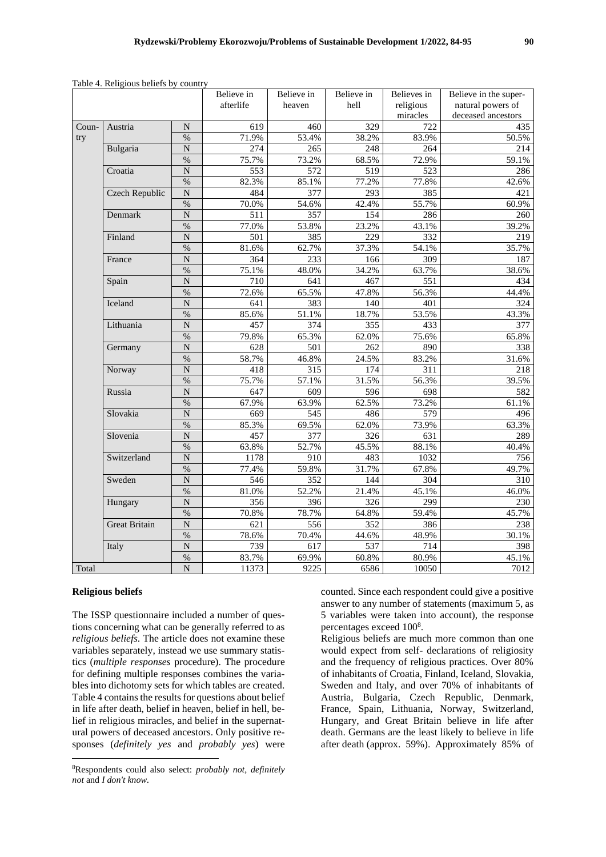|       |                      |                       | Believe in | Believe in       | Believe in | Believes in | Believe in the super- |
|-------|----------------------|-----------------------|------------|------------------|------------|-------------|-----------------------|
|       |                      |                       | afterlife  | heaven           | hell       | religious   | natural powers of     |
|       |                      |                       |            |                  |            | miracles    | deceased ancestors    |
| Coun- | Austria              | $\mathbf N$           | 619        | 460              | 329        | 722         | 435                   |
| try   |                      | $\%$                  | 71.9%      | 53.4%            | 38.2%      | 83.9%       | 50.5%                 |
|       | Bulgaria             | ${\bf N}$             | 274        | 265              | 248        | 264         | 214                   |
|       |                      | $\%$                  | 75.7%      | 73.2%            | 68.5%      | 72.9%       | 59.1%                 |
|       | Croatia              | $\overline{N}$        | 553        | $\overline{572}$ | 519        | 523         | 286                   |
|       |                      | $\%$                  | 82.3%      | 85.1%            | 77.2%      | 77.8%       | 42.6%                 |
|       | Czech Republic       | ${\bf N}$             | 484        | 377              | 293        | 385         | 421                   |
|       |                      | $\%$                  | 70.0%      | 54.6%            | 42.4%      | 55.7%       | 60.9%                 |
|       | Denmark              | $\overline{N}$        | 511        | 357              | 154        | 286         | 260                   |
|       |                      | $\%$                  | 77.0%      | 53.8%            | 23.2%      | 43.1%       | 39.2%                 |
|       | Finland              | $\mathbf N$           | 501        | 385              | 229        | 332         | 219                   |
|       |                      | $\%$                  | 81.6%      | 62.7%            | 37.3%      | 54.1%       | 35.7%                 |
|       | France               | $\overline{N}$        | 364        | 233              | 166        | 309         | 187                   |
|       |                      | $\%$                  | 75.1%      | 48.0%            | 34.2%      | 63.7%       | 38.6%                 |
|       | Spain                | $\overline{N}$        | 710        | 641              | 467        | 551         | 434                   |
|       |                      | $\%$                  | 72.6%      | 65.5%            | 47.8%      | 56.3%       | 44.4%                 |
|       | Iceland              | $\mathbf N$           | 641        | 383              | 140        | 401         | 324                   |
|       |                      | $\%$                  | 85.6%      | 51.1%            | 18.7%      | 53.5%       | 43.3%                 |
|       | Lithuania            | $\overline{N}$        | 457        | 374              | 355        | 433         | 377                   |
|       |                      | $\frac{0}{2}$         | 79.8%      | 65.3%            | 62.0%      | 75.6%       | 65.8%                 |
|       | Germany              | $\overline{N}$        | 628        | 501              | 262        | 890         | 338                   |
|       |                      | $\%$                  | 58.7%      | 46.8%            | 24.5%      | 83.2%       | 31.6%                 |
|       | Norway               | $\overline{N}$        | 418        | 315              | 174        | 311         | 218                   |
|       |                      | $\%$                  | 75.7%      | 57.1%            | 31.5%      | 56.3%       | 39.5%                 |
|       | Russia               | $\overline{N}$        | 647        | 609              | 596        | 698         | 582                   |
|       |                      | $\%$                  | 67.9%      | 63.9%            | 62.5%      | 73.2%       | 61.1%                 |
|       | Slovakia             | ${\bf N}$             | 669        | 545              | 486        | 579         | 496                   |
|       |                      | $\%$                  | 85.3%      | 69.5%            | 62.0%      | 73.9%       | 63.3%                 |
|       | Slovenia             | $\overline{N}$        | 457        | 377              | 326        | 631         | 289                   |
|       |                      | $\%$                  | 63.8%      | 52.7%            | 45.5%      | 88.1%       | 40.4%                 |
|       | Switzerland          | $\mathbf N$           | 1178       | 910              | 483        | 1032        | 756                   |
|       |                      | $\%$                  | 77.4%      | 59.8%            | 31.7%      | 67.8%       | 49.7%                 |
|       | Sweden               | ${\bf N}$             | 546        | 352              | 144        | 304         | 310                   |
|       |                      | $\%$                  | 81.0%      | 52.2%            | 21.4%      | 45.1%       | 46.0%                 |
|       | Hungary              | $\overline{N}$        | 356        | 396              | 326        | 299         | 230                   |
|       |                      | $\%$                  | 70.8%      | 78.7%            | 64.8%      | 59.4%       | 45.7%                 |
|       | <b>Great Britain</b> | $\overline{\text{N}}$ | 621        | 556              | 352        | 386         | 238                   |
|       |                      | $\%$                  | 78.6%      | 70.4%            | 44.6%      | 48.9%       | 30.1%                 |
|       | Italy                | $\overline{\text{N}}$ | 739        | $\overline{617}$ | 537        | 714         | 398                   |
|       |                      | $\%$                  | 83.7%      | 69.9%            | 60.8%      | 80.9%       | 45.1%                 |
| Total |                      | $\overline{N}$        | 11373      | 9225             | 6586       | 10050       | 7012                  |

Table 4. Religious beliefs by country

## **Religious beliefs**

The ISSP questionnaire included a number of questions concerning what can be generally referred to as *religious beliefs*. The article does not examine these variables separately, instead we use summary statistics (*multiple responses* procedure). The procedure for defining multiple responses combines the variables into dichotomy sets for which tables are created. Table 4 contains the results for questions about belief in life after death, belief in heaven, belief in hell, belief in religious miracles, and belief in the supernatural powers of deceased ancestors. Only positive responses (*definitely yes* and *probably yes*) were counted. Since each respondent could give a positive answer to any number of statements (maximum 5, as 5 variables were taken into account), the response percentages exceed 100<sup>8</sup>.

Religious beliefs are much more common than one would expect from self- declarations of religiosity and the frequency of religious practices. Over 80% of inhabitants of Croatia, Finland, Iceland, Slovakia, Sweden and Italy, and over 70% of inhabitants of Austria, Bulgaria, Czech Republic, Denmark, France, Spain, Lithuania, Norway, Switzerland, Hungary, and Great Britain believe in life after death. Germans are the least likely to believe in life after death (approx. 59%). Approximately 85% of

<sup>8</sup>Respondents could also select: *probably not, definitely not* and *I don't know.*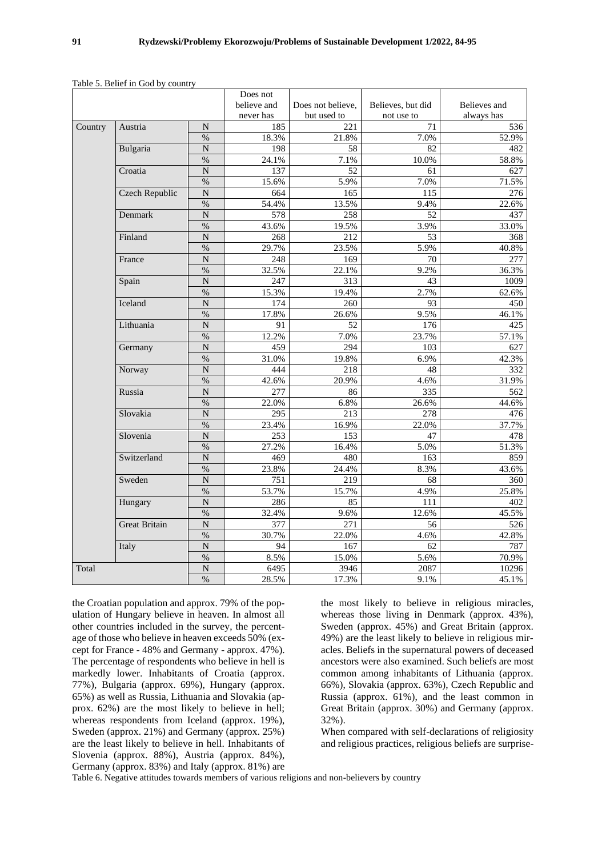|         |                      |                    | Does not    |                   |                   |                     |
|---------|----------------------|--------------------|-------------|-------------------|-------------------|---------------------|
|         |                      |                    | believe and | Does not believe, | Believes, but did | Believes and        |
|         |                      |                    | never has   | but used to       | not use to        | always has          |
| Country | Austria              | N                  | 185         | 221               | 71                | 536                 |
|         |                      | $\%$               | 18.3%       | 21.8%             | 7.0%              | 52.9%               |
|         | Bulgaria             | N                  | 198         | 58                | 82                | 482                 |
|         |                      | $\frac{9}{6}$      | 24.1%       | 7.1%              | 10.0%             | 58.8%               |
|         | Croatia              | $\overline{N}$     | 137         | 52                | 61                | 627                 |
|         |                      | $\%$               | 15.6%       | 5.9%              | 7.0%              | 71.5%               |
|         | Czech Republic       | $\overline{N}$     | 664         | 165               | 115               | 276                 |
|         |                      | $\%$               | 54.4%       | 13.5%             | 9.4%              | 22.6%               |
|         | Denmark              | $\overline{N}$     | 578         | 258               | 52                | 437                 |
|         |                      | $\%$               | 43.6%       | 19.5%             | 3.9%              | 33.0%               |
|         | Finland              | $\overline{N}$     | 268         | 212               | 53                | 368                 |
|         |                      | $\%$               | 29.7%       | 23.5%             | 5.9%              | 40.8%               |
|         | France               | N                  | 248         | 169               | 70                | 277                 |
|         |                      | $\%$               | 32.5%       | 22.1%             | 9.2%              | 36.3%               |
|         | Spain<br>Iceland     | $\overline{N}$     | 247         | 313               | 43                | 1009                |
|         |                      | $\%$               | 15.3%       | 19.4%             | 2.7%              | 62.6%               |
|         |                      | $\overline{N}$     | 174         | 260               | 93                | 450                 |
|         |                      | $\%$               | 17.8%       | 26.6%             | 9.5%              | 46.1%               |
|         | Lithuania            | $\overline{N}$     | 91          | 52                | 176               |                     |
|         |                      | $\%$               | 12.2%       | 7.0%              | 23.7%             | 425<br>57.1%<br>627 |
|         | Germany              | N                  | 459         | 294               | 103               |                     |
|         |                      | $\frac{0}{0}$      | 31.0%       | 19.8%             | 6.9%              | 42.3%               |
|         | Norway               | N                  | 444         | 218               | 48                | 332                 |
|         |                      | $\%$               | 42.6%       | 20.9%             | 4.6%              | 31.9%               |
|         | Russia               | $\overline{N}$     | 277         | 86                | 335               | 562                 |
|         |                      | %                  | 22.0%       | 6.8%              | 26.6%             | 44.6%               |
|         | Slovakia             | $\overline{N}$     | 295         | 213               | 278               | 476                 |
|         |                      | $\%$               | 23.4%       | 16.9%             | 22.0%             | 37.7%               |
|         | Slovenia             | $\overline{\rm N}$ | 253         | 153               | 47                | 478                 |
|         |                      | $\frac{9}{6}$      | 27.2%       | 16.4%             | 5.0%              | 51.3%               |
|         | Switzerland          | $\mathbf N$        | 469         | 480               | 163               | 859                 |
|         |                      | $\%$               | 23.8%       | 24.4%             | 8.3%              | 43.6%               |
|         | Sweden               | $\overline{N}$     | 751         | 219               | 68                | 360                 |
|         |                      | $\%$               | 53.7%       | 15.7%             | 4.9%              | 25.8%               |
|         | Hungary              | $\overline{N}$     | 286         | 85                | 111               | 402                 |
|         |                      | $\%$               | 32.4%       | 9.6%              | 12.6%             | 45.5%               |
|         | <b>Great Britain</b> | $\overline{N}$     | 377         | 271               | 56                | 526                 |
|         |                      | $\%$               | 30.7%       | 22.0%             | 4.6%              | 42.8%               |
|         | Italy                | $\overline{N}$     | 94          | 167               | 62                | 787                 |
|         |                      | $\%$               | 8.5%        | 15.0%             | 5.6%              | 70.9%               |
| Total   |                      | $\overline{N}$     | 6495        | 3946              | 2087              | 10296               |
|         |                      | $\%$               | 28.5%       | 17.3%             | 9.1%              | 45.1%               |

Table 5. Belief in God by country

the Croatian population and approx. 79% of the population of Hungary believe in heaven. In almost all other countries included in the survey, the percentage of those who believe in heaven exceeds 50% (except for France - 48% and Germany - approx. 47%). The percentage of respondents who believe in hell is markedly lower. Inhabitants of Croatia (approx. 77%), Bulgaria (approx. 69%), Hungary (approx. 65%) as well as Russia, Lithuania and Slovakia (approx. 62%) are the most likely to believe in hell; whereas respondents from Iceland (approx. 19%), Sweden (approx. 21%) and Germany (approx. 25%) are the least likely to believe in hell. Inhabitants of Slovenia (approx. 88%), Austria (approx. 84%), Germany (approx. 83%) and Italy (approx. 81%) are

the most likely to believe in religious miracles, whereas those living in Denmark (approx. 43%), Sweden (approx. 45%) and Great Britain (approx. 49%) are the least likely to believe in religious miracles. Beliefs in the supernatural powers of deceased ancestors were also examined. Such beliefs are most common among inhabitants of Lithuania (approx. 66%), Slovakia (approx. 63%), Czech Republic and Russia (approx. 61%), and the least common in Great Britain (approx. 30%) and Germany (approx. 32%).

When compared with self-declarations of religiosity and religious practices, religious beliefs are surprise-

Table 6. Negative attitudes towards members of various religions and non-believers by country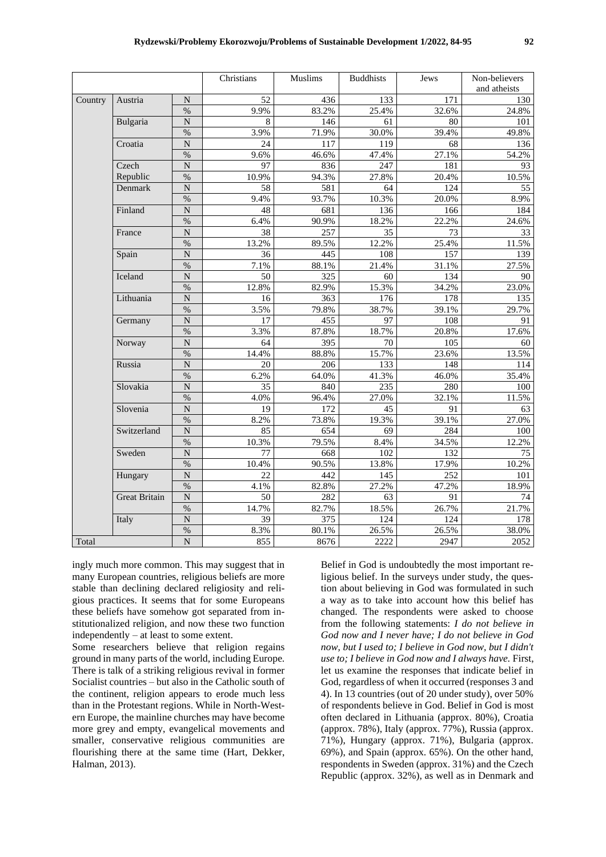|         |                      |                       | Christians      | Muslims | <b>Buddhists</b> | Jews                         | Non-believers |
|---------|----------------------|-----------------------|-----------------|---------|------------------|------------------------------|---------------|
|         |                      |                       |                 |         |                  |                              | and atheists  |
| Country | Austria              | ${\bf N}$             | 52              | 436     | 133              | 171                          | 130           |
|         |                      | $\%$                  | 9.9%            | 83.2%   | 25.4%            | 32.6%                        | 24.8%         |
|         | Bulgaria             | $\overline{N}$        | 8               | 146     | 61               | 80                           | 101           |
|         |                      | $\%$                  | 3.9%            | 71.9%   | 30.0%            | 39.4%                        | 49.8%         |
|         | Croatia              | $\overline{\rm N}$    | 24              | 117     | 119              | 68                           | 136           |
|         |                      | $\%$                  | 9.6%            | 46.6%   | 47.4%            | 27.1%                        | 54.2%         |
|         | Czech                | $\mathbf N$           | 97              | 836     | 247              | 181                          | 93            |
|         | Republic             | $\%$                  | 10.9%           | 94.3%   | 27.8%            | 20.4%                        | 10.5%         |
|         | Denmark              | $\overline{N}$        | 58              | 581     | 64               | 124                          | 55            |
|         |                      | $\%$                  | 9.4%            | 93.7%   | 10.3%            | 20.0%                        | 8.9%          |
|         | Finland              | $\overline{N}$        | 48              | 681     | 136              | 166                          | 184           |
|         |                      | $\%$                  | 6.4%            | 90.9%   | 18.2%            | 22.2%                        | 24.6%         |
|         | France               | $\overline{N}$        | 38              | 257     | 35               | 73                           | 33            |
|         |                      | $\%$                  | 13.2%           | 89.5%   | 12.2%            | 25.4%                        | 11.5%         |
|         | Spain                | $\overline{N}$        | 36              | 445     | 108              | 157                          | 139           |
|         |                      | $\%$                  | 7.1%            | 88.1%   | 21.4%            | 31.1%<br>134<br>34.2%<br>178 | 27.5%         |
|         | Iceland              | $\overline{\rm N}$    | 50              | 325     | 60               |                              | 90            |
|         |                      | $\%$                  | 12.8%           | 82.9%   | 15.3%            |                              | 23.0%         |
|         | Lithuania            | $\overline{N}$        | 16              | 363     | 176              |                              | 135           |
|         |                      | $\%$                  | 3.5%            | 79.8%   | 38.7%            | 39.1%                        | 29.7%         |
|         | Germany              | $\mathbf N$           | 17              | 455     | 97               | 108                          | 91            |
|         |                      | $\frac{0}{0}$         | 3.3%            | 87.8%   | 18.7%            | 20.8%                        | 17.6%         |
|         | Norway               | $\overline{N}$        | 64              | 395     | 70               | 105                          | 60            |
|         |                      | $\frac{0}{0}$         | 14.4%           | 88.8%   | 15.7%            | 23.6%                        | 13.5%         |
|         | Russia               | $\overline{\rm N}$    | 20              | 206     | 133              | 148                          | 114           |
|         |                      | $\%$                  | 6.2%            | 64.0%   | 41.3%            | 46.0%                        | 35.4%         |
|         | Slovakia             | $\overline{N}$        | 35              | 840     | 235              | 280                          | 100           |
|         |                      | $\%$                  | 4.0%            | 96.4%   | 27.0%            | 32.1%                        | 11.5%         |
|         | Slovenia             | ${\bf N}$             | 19              | 172     | 45               | 91                           | 63            |
|         |                      | $\%$                  | 8.2%            | 73.8%   | 19.3%            | 39.1%                        | 27.0%         |
|         | Switzerland          | $\overline{N}$        | 85              | 654     | 69               | 284                          | 100           |
|         |                      | $\%$                  | 10.3%           | 79.5%   | 8.4%             | 34.5%                        | 12.2%         |
|         | Sweden               | $\overline{\text{N}}$ | $\overline{77}$ | 668     | 102              | 132                          | 75            |
|         |                      | $\%$                  | 10.4%           | 90.5%   | 13.8%            | 17.9%                        | 10.2%         |
|         | Hungary              | $\overline{N}$        | 22              | 442     | 145              | 252                          | 101           |
|         |                      | $\%$                  | 4.1%            | 82.8%   | 27.2%            | 47.2%                        | 18.9%         |
|         | <b>Great Britain</b> | $\overline{N}$        | 50              | 282     | 63               | 91                           | 74            |
|         |                      | $\%$                  | 14.7%           | 82.7%   | 18.5%            | 26.7%                        | 21.7%         |
|         | Italy                | $\overline{N}$        | 39              | 375     | 124              | 124                          | 178           |
|         |                      | $\%$                  | 8.3%            | 80.1%   | 26.5%            | 26.5%                        | 38.0%         |
| Total   |                      | $\overline{N}$        | 855             | 8676    | 2222             | 2947                         | 2052          |

ingly much more common. This may suggest that in many European countries, religious beliefs are more stable than declining declared religiosity and religious practices. It seems that for some Europeans these beliefs have somehow got separated from institutionalized religion, and now these two function independently – at least to some extent.

Some researchers believe that religion regains ground in many parts of the world, including Europe. There is talk of a striking religious revival in former Socialist countries – but also in the Catholic south of the continent, religion appears to erode much less than in the Protestant regions. While in North-Western Europe, the mainline churches may have become more grey and empty, evangelical movements and smaller, conservative religious communities are flourishing there at the same time (Hart, Dekker, Halman, 2013).

Belief in God is undoubtedly the most important religious belief. In the surveys under study, the question about believing in God was formulated in such a way as to take into account how this belief has changed. The respondents were asked to choose from the following statements: *I do not believe in God now and I never have; I do not believe in God now, but I used to; I believe in God now, but I didn't use to; I believe in God now and I always have.* First, let us examine the responses that indicate belief in God, regardless of when it occurred (responses 3 and 4). In 13 countries (out of 20 under study), over 50% of respondents believe in God. Belief in God is most often declared in Lithuania (approx. 80%), Croatia (approx. 78%), Italy (approx. 77%), Russia (approx. 71%), Hungary (approx. 71%), Bulgaria (approx. 69%), and Spain (approx. 65%). On the other hand, respondents in Sweden (approx. 31%) and the Czech Republic (approx. 32%), as well as in Denmark and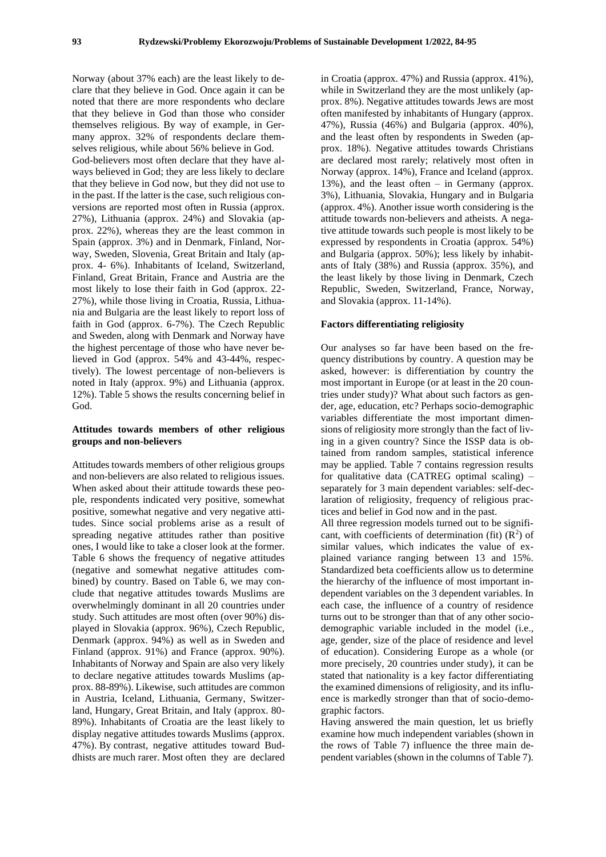Norway (about 37% each) are the least likely to declare that they believe in God. Once again it can be noted that there are more respondents who declare that they believe in God than those who consider themselves religious. By way of example, in Germany approx. 32% of respondents declare themselves religious, while about 56% believe in God.

God-believers most often declare that they have always believed in God; they are less likely to declare that they believe in God now, but they did not use to in the past. If the latter is the case, such religious conversions are reported most often in Russia (approx. 27%), Lithuania (approx. 24%) and Slovakia (approx. 22%), whereas they are the least common in Spain (approx. 3%) and in Denmark, Finland, Norway, Sweden, Slovenia, Great Britain and Italy (approx. 4- 6%). Inhabitants of Iceland, Switzerland, Finland, Great Britain, France and Austria are the most likely to lose their faith in God (approx. 22- 27%), while those living in Croatia, Russia, Lithuania and Bulgaria are the least likely to report loss of faith in God (approx. 6-7%). The Czech Republic and Sweden, along with Denmark and Norway have the highest percentage of those who have never believed in God (approx. 54% and 43-44%, respectively). The lowest percentage of non-believers is noted in Italy (approx. 9%) and Lithuania (approx. 12%). Table 5 shows the results concerning belief in God.

## **Attitudes towards members of other religious groups and non-believers**

Attitudes towards members of other religious groups and non-believers are also related to religious issues. When asked about their attitude towards these people, respondents indicated very positive, somewhat positive, somewhat negative and very negative attitudes. Since social problems arise as a result of spreading negative attitudes rather than positive ones, I would like to take a closer look at the former. Table 6 shows the frequency of negative attitudes (negative and somewhat negative attitudes combined) by country. Based on Table 6, we may conclude that negative attitudes towards Muslims are overwhelmingly dominant in all 20 countries under study. Such attitudes are most often (over 90%) displayed in Slovakia (approx. 96%), Czech Republic, Denmark (approx. 94%) as well as in Sweden and Finland (approx. 91%) and France (approx. 90%). Inhabitants of Norway and Spain are also very likely to declare negative attitudes towards Muslims (approx. 88-89%). Likewise, such attitudes are common in Austria, Iceland, Lithuania, Germany, Switzerland, Hungary, Great Britain, and Italy (approx. 80- 89%). Inhabitants of Croatia are the least likely to display negative attitudes towards Muslims (approx. 47%). By contrast, negative attitudes toward Buddhists are much rarer. Most often they are declared

in Croatia (approx. 47%) and Russia (approx. 41%), while in Switzerland they are the most unlikely (approx. 8%). Negative attitudes towards Jews are most often manifested by inhabitants of Hungary (approx. 47%), Russia (46%) and Bulgaria (approx. 40%), and the least often by respondents in Sweden (approx. 18%). Negative attitudes towards Christians are declared most rarely; relatively most often in Norway (approx. 14%), France and Iceland (approx. 13%), and the least often – in Germany (approx. 3%), Lithuania, Slovakia, Hungary and in Bulgaria (approx. 4%). Another issue worth considering is the attitude towards non-believers and atheists. A negative attitude towards such people is most likely to be expressed by respondents in Croatia (approx. 54%) and Bulgaria (approx. 50%); less likely by inhabitants of Italy (38%) and Russia (approx. 35%), and the least likely by those living in Denmark, Czech Republic, Sweden, Switzerland, France, Norway, and Slovakia (approx. 11-14%).

#### **Factors differentiating religiosity**

Our analyses so far have been based on the frequency distributions by country. A question may be asked, however: is differentiation by country the most important in Europe (or at least in the 20 countries under study)? What about such factors as gender, age, education, etc? Perhaps socio-demographic variables differentiate the most important dimensions of religiosity more strongly than the fact of living in a given country? Since the ISSP data is obtained from random samples, statistical inference may be applied. Table 7 contains regression results for qualitative data (CATREG optimal scaling) – separately for 3 main dependent variables: self-declaration of religiosity, frequency of religious practices and belief in God now and in the past.

All three regression models turned out to be significant, with coefficients of determination (fit)  $(R^2)$  of similar values, which indicates the value of explained variance ranging between 13 and 15%. Standardized beta coefficients allow us to determine the hierarchy of the influence of most important independent variables on the 3 dependent variables. In each case, the influence of a country of residence turns out to be stronger than that of any other sociodemographic variable included in the model (i.e., age, gender, size of the place of residence and level of education). Considering Europe as a whole (or more precisely, 20 countries under study), it can be stated that nationality is a key factor differentiating the examined dimensions of religiosity, and its influence is markedly stronger than that of socio-demographic factors.

Having answered the main question, let us briefly examine how much independent variables (shown in the rows of Table 7) influence the three main dependent variables (shown in the columns of Table 7).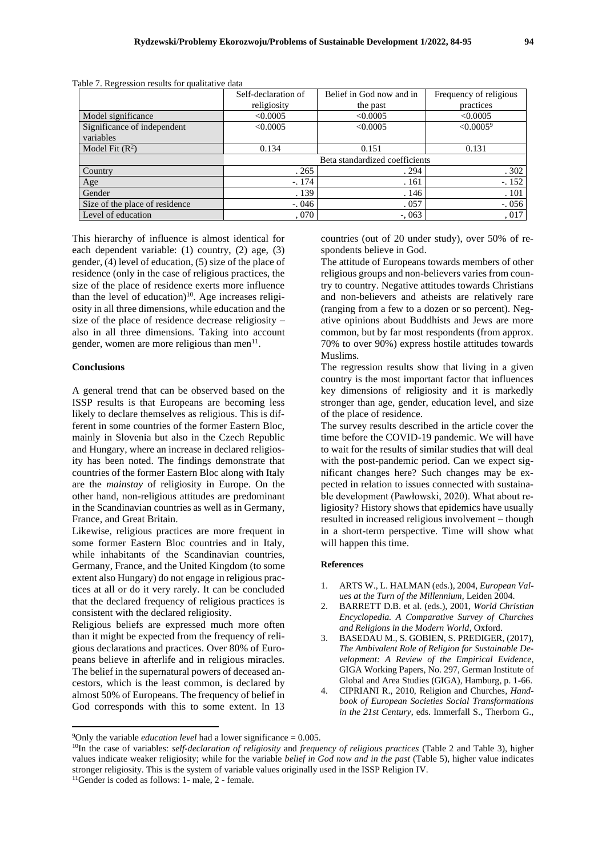|                                | Self-declaration of | Belief in God now and in       | Frequency of religious |  |
|--------------------------------|---------------------|--------------------------------|------------------------|--|
|                                | religiosity         | the past                       | practices              |  |
| Model significance             | < 0.0005            | < 0.0005                       | < 0.0005               |  |
| Significance of independent    | < 0.0005            | < 0.0005                       | $\leq 0.00059$         |  |
| variables                      |                     |                                |                        |  |
| Model Fit $(R^2)$              | 0.134               | 0.151                          | 0.131                  |  |
|                                |                     | Beta standardized coefficients |                        |  |
| Country                        | .265                | .294                           | .302                   |  |
| Age                            | $-.174$             | .161                           | $-152$                 |  |
| Gender                         | . 139               | .146                           | .101                   |  |
| Size of the place of residence | $-0.046$            | .057                           | $-.056$                |  |
| Level of education             | ,070                | $-.063$                        | ,017                   |  |

Table 7. Regression results for qualitative data

This hierarchy of influence is almost identical for each dependent variable: (1) country, (2) age, (3) gender, (4) level of education, (5) size of the place of residence (only in the case of religious practices, the size of the place of residence exerts more influence than the level of education) $10$ . Age increases religiosity in all three dimensions, while education and the size of the place of residence decrease religiosity – also in all three dimensions. Taking into account gender, women are more religious than men<sup>11</sup>.

#### **Conclusions**

A general trend that can be observed based on the ISSP results is that Europeans are becoming less likely to declare themselves as religious. This is different in some countries of the former Eastern Bloc, mainly in Slovenia but also in the Czech Republic and Hungary, where an increase in declared religiosity has been noted. The findings demonstrate that countries of the former Eastern Bloc along with Italy are the *mainstay* of religiosity in Europe. On the other hand, non-religious attitudes are predominant in the Scandinavian countries as well as in Germany, France, and Great Britain.

Likewise, religious practices are more frequent in some former Eastern Bloc countries and in Italy, while inhabitants of the Scandinavian countries, Germany, France, and the United Kingdom (to some extent also Hungary) do not engage in religious practices at all or do it very rarely. It can be concluded that the declared frequency of religious practices is consistent with the declared religiosity.

Religious beliefs are expressed much more often than it might be expected from the frequency of religious declarations and practices. Over 80% of Europeans believe in afterlife and in religious miracles. The belief in the supernatural powers of deceased ancestors, which is the least common, is declared by almost 50% of Europeans. The frequency of belief in God corresponds with this to some extent. In 13

countries (out of 20 under study), over 50% of respondents believe in God.

The attitude of Europeans towards members of other religious groups and non-believers varies from country to country. Negative attitudes towards Christians and non-believers and atheists are relatively rare (ranging from a few to a dozen or so percent). Negative opinions about Buddhists and Jews are more common, but by far most respondents (from approx. 70% to over 90%) express hostile attitudes towards Muslims.

The regression results show that living in a given country is the most important factor that influences key dimensions of religiosity and it is markedly stronger than age, gender, education level, and size of the place of residence.

The survey results described in the article cover the time before the COVID-19 pandemic. We will have to wait for the results of similar studies that will deal with the post-pandemic period. Can we expect significant changes here? Such changes may be expected in relation to issues connected with sustainable development (Pawłowski, 2020). What about religiosity? History shows that epidemics have usually resulted in increased religious involvement – though in a short-term perspective. Time will show what will happen this time.

#### **References**

- 1. ARTS W., L. HALMAN (eds.), 2004, *European Values at the Turn of the Millennium,* Leiden 2004.
- 2. BARRETT D.B. et al. (eds.), 2001, *World Christian Encyclopedia. A Comparative Survey of Churches and Religions in the Modern World*, Oxford.
- 3. BASEDAU M., S. GOBIEN, S. PREDIGER, (2017), *The Ambivalent Role of Religion for Sustainable Development: A Review of the Empirical Evidence*, GIGA Working Papers, No. 297, German Institute of Global and Area Studies (GIGA), Hamburg, p. 1-66.
- 4. CIPRIANI R., 2010, Religion and Churches, *Handbook of European Societies Social Transformations in the 21st Century*, eds. Immerfall S., Therborn G.,

<sup>&</sup>lt;sup>9</sup>Only the variable *education level* had a lower significance =  $0.005$ .

<sup>10</sup>In the case of variables: *self-declaration of religiosity* and *frequency of religious practices* (Table 2 and Table 3), higher values indicate weaker religiosity; while for the variable *belief in God now and in the past* (Table 5), higher value indicates stronger religiosity. This is the system of variable values originally used in the ISSP Religion IV.

<sup>11</sup>Gender is coded as follows: 1- male, 2 - female.